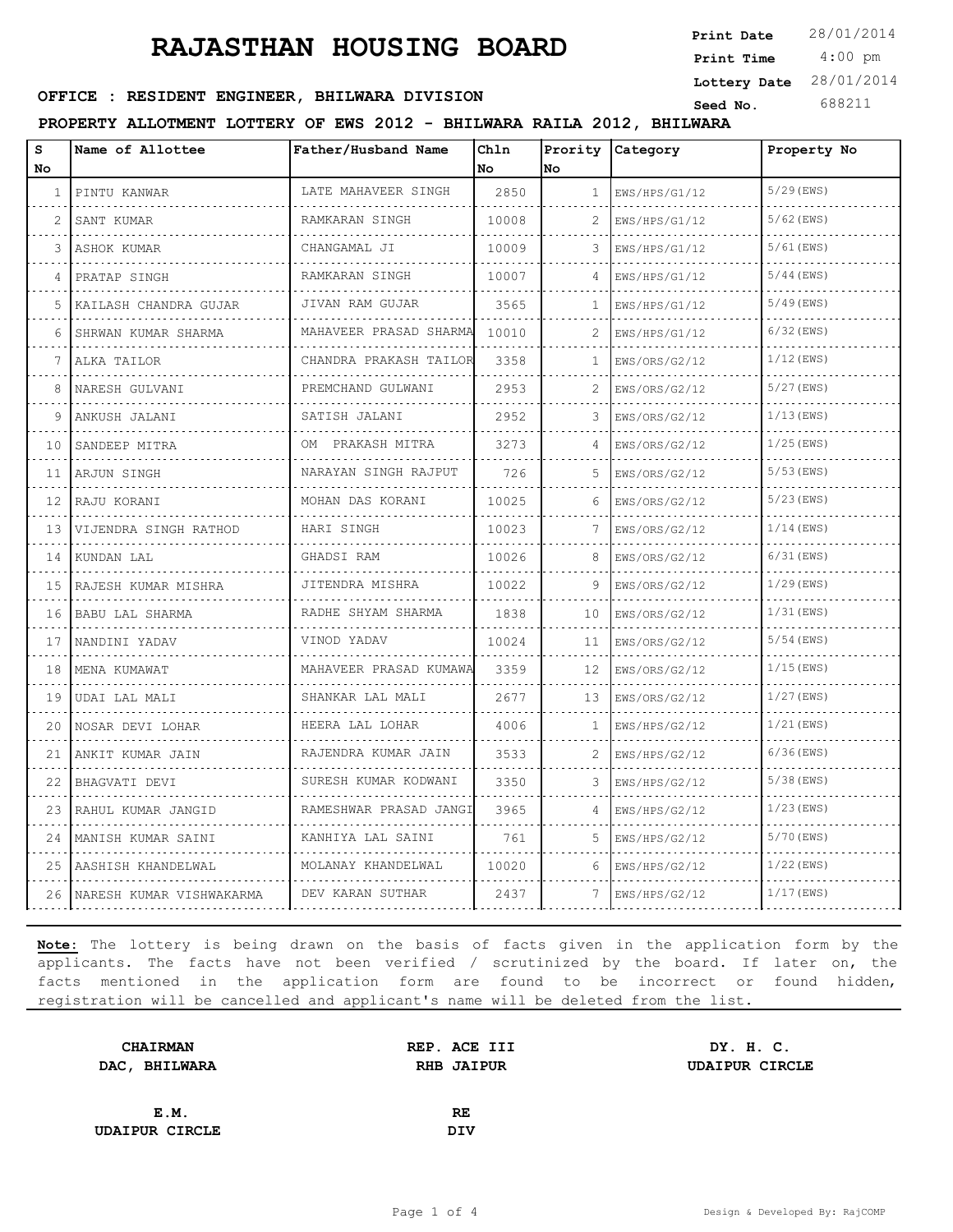4:00 pm **Print Date Print Time Lottery Date** 28/01/2014

# **SEED : RESIDENT ENGINEER, BHILWARA DIVISION** Seed No. 688211

#### **PROPERTY ALLOTMENT LOTTERY OF EWS 2012 - BHILWARA RAILA 2012, BHILWARA**

| s  | Name of Allottee           | Father/Husband Name       | Ch1n  |              | Prority Category | Property No  |
|----|----------------------------|---------------------------|-------|--------------|------------------|--------------|
| No |                            |                           | No    | No           |                  |              |
| 1  | PINTU KANWAR               | LATE MAHAVEER SINGH       | 2850  | $\mathbf{1}$ | EWS/HPS/G1/12    | $5/29$ (EWS) |
|    | SANT KUMAR                 | RAMKARAN SINGH            | 10008 | 2            | EWS/HPS/G1/12    | $5/62$ (EWS) |
| 3  | ASHOK KUMAR                | CHANGAMAL JI              | 10009 | 3            | EWS/HPS/G1/12    | $5/61$ (EWS) |
|    | PRATAP SINGH               | RAMKARAN SINGH            | 10007 | 4            | EWS/HPS/G1/12    | $5/44$ (EWS) |
| 5  | KAILASH CHANDRA GUJAR      | JIVAN RAM GUJAR           | 3565  | 1            | EWS/HPS/G1/12    | $5/49$ (EWS) |
| 6  | SHRWAN KUMAR SHARMA        | MAHAVEER PRASAD SHARMA    | 10010 | 2            | EWS/HPS/G1/12    | $6/32$ (EWS) |
| 7  | ALKA TAILOR                | CHANDRA PRAKASH TAILOR    | 3358  | 1            | EWS/ORS/G2/12    | $1/12$ (EWS) |
| 8  | NARESH GULVANI             | PREMCHAND GULWANI         | 2953  | 2            | EWS/ORS/G2/12    | $5/27$ (EWS) |
| q  | ANKUSH JALANI              | SATISH JALANI             | 2952  | 3            | EWS/ORS/G2/12    | $1/13$ (EWS) |
| 10 | SANDEEP MITRA              | PRAKASH MITRA<br>OM       | 3273  | 4            | EWS/ORS/G2/12    | $1/25$ (EWS) |
| 11 | ARJUN SINGH                | NARAYAN SINGH RAJPUT<br>. | 726   | 5            | EWS/ORS/G2/12    | $5/53$ (EWS) |
| 12 | RAJU KORANI                | MOHAN DAS KORANI          | 10025 | 6            | EWS/ORS/G2/12    | $5/23$ (EWS) |
| 13 | VIJENDRA SINGH RATHOD<br>. | HARI SINGH                | 10023 | 7            | EWS/ORS/G2/12    | $1/14$ (EWS) |
| 14 | KUNDAN LAL                 | GHADSI RAM                | 10026 | 8            | EWS/ORS/G2/12    | $6/31$ (EWS) |
| 15 | RAJESH KUMAR MISHRA        | JITENDRA MISHRA           | 10022 | 9            | EWS/ORS/G2/12    | $1/29$ (EWS) |
| 16 | BABU LAL SHARMA            | RADHE SHYAM SHARMA        | 1838  | 10           | EWS/ORS/G2/12    | $1/31$ (EWS) |
| 17 | NANDINI YADAV              | VINOD YADAV               | 10024 | 11           | EWS/ORS/G2/12    | $5/54$ (EWS) |
| 18 | MENA KUMAWAT               | MAHAVEER PRASAD KUMAWA    | 3359  | 12           | EWS/ORS/G2/12    | $1/15$ (EWS) |
| 19 | UDAI LAL MALI              | SHANKAR LAL MALI          | 2677  | 13           | EWS/ORS/G2/12    | $1/27$ (EWS) |
| 20 | NOSAR DEVI LOHAR           | HEERA LAL LOHAR           | 4006  | 1            | EWS/HPS/G2/12    | $1/21$ (EWS) |
| 21 | ANKIT KUMAR JAIN           | RAJENDRA KUMAR JAIN       | 3533  |              | EWS/HPS/G2/12    | $6/36$ (EWS) |
| 22 | BHAGVATI DEVI              | SURESH KUMAR KODWANI      | 3350  | 3            | EWS/HPS/G2/12    | $5/38$ (EWS) |
| 23 | RAHUL KUMAR JANGID         | RAMESHWAR PRASAD JANGI    | 3965  | 4            | EWS/HPS/G2/12    | $1/23$ (EWS) |
| 24 | MANISH KUMAR SAINI         | KANHIYA LAL SAINI         | 761   |              | EWS/HPS/G2/12    | 5/70 (EWS)   |
| 25 | AASHISH KHANDELWAL         | MOLANAY KHANDELWAL        | 10020 | 6            | EWS/HPS/G2/12    | $1/22$ (EWS) |
| 26 | NARESH KUMAR VISHWAKARMA   | DEV KARAN SUTHAR          | 2437  | 7            | EWS/HPS/G2/12    | $1/17$ (EWS) |

| <b>CHAIRMAN</b>       | REP. ACE III      | DY. H. C.             |  |
|-----------------------|-------------------|-----------------------|--|
| DAC, BHILWARA         | <b>RHB JAIPUR</b> | <b>UDAIPUR CIRCLE</b> |  |
|                       |                   |                       |  |
| E.M.                  | <b>RE</b>         |                       |  |
| <b>UDAIPUR CIRCLE</b> | DIV               |                       |  |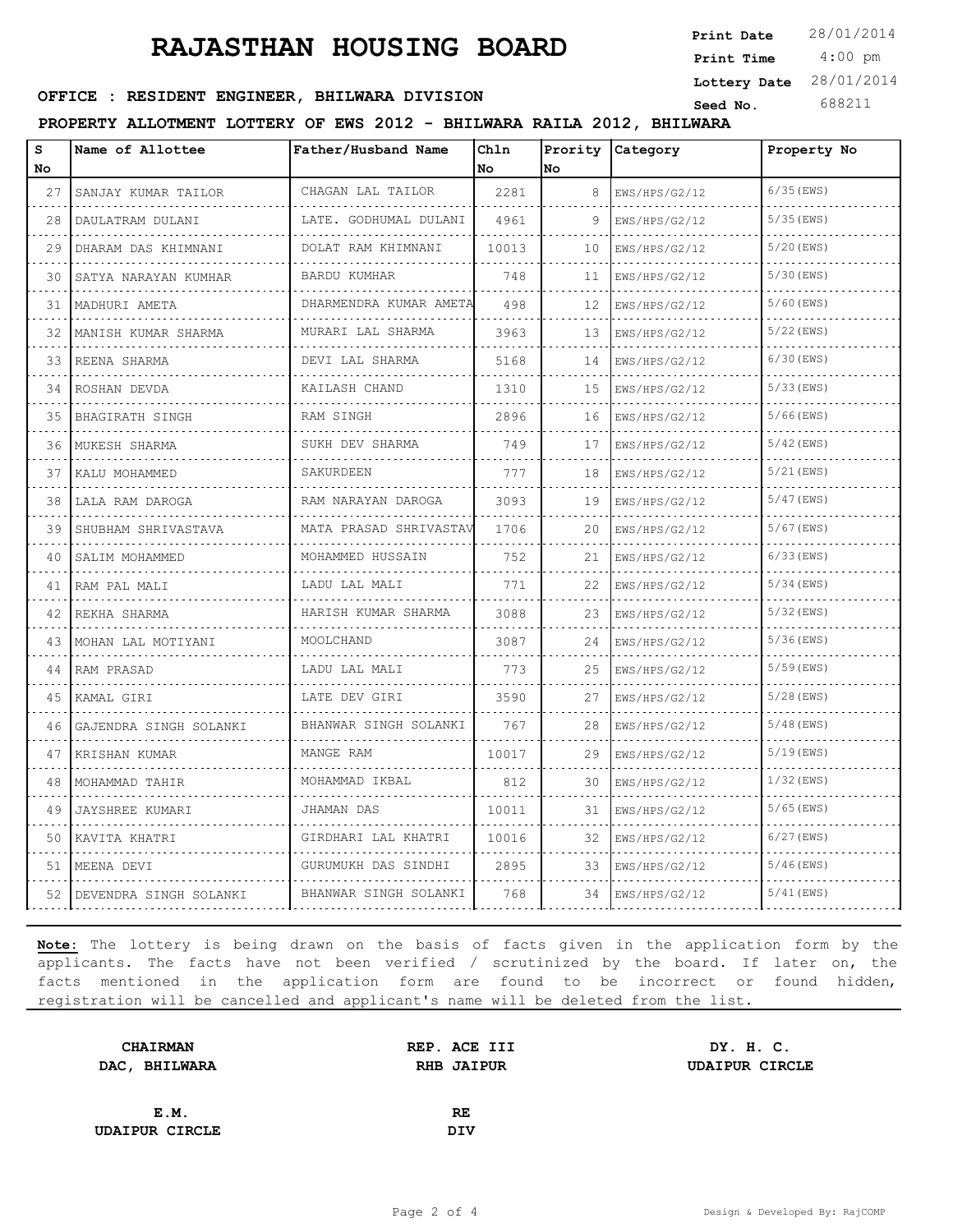4:00 pm **Print Date**  $28/01/2014$ **Print Time Lottery Date** 28/01/2014

#### **SERICE : RESIDENT ENGINEER, BHILWARA DIVISION Seed No.** 688211

**PROPERTY ALLOTMENT LOTTERY OF EWS 2012 - BHILWARA RAILA 2012, BHILWARA**

| s<br>No | Name of Allottee       | Father/Husband Name                  | Chln<br>No. | <b>No</b> | Prority Category   | Property No  |
|---------|------------------------|--------------------------------------|-------------|-----------|--------------------|--------------|
| 27      | SANJAY KUMAR TAILOR    | CHAGAN LAL TAILOR                    | 2281        | 8         | EWS/HPS/G2/12      | $6/35$ (EWS) |
| 28      | .<br>DAULATRAM DULANI  | .<br>LATE. GODHUMAL DULANI           | 4961        | 9         | EWS/HPS/G2/12      | $5/35$ (EWS) |
| 29      | DHARAM DAS KHIMNANI    | DOLAT RAM KHIMNANI                   | 10013       | 10        | EWS/HPS/G2/12      | $5/20$ (EWS) |
| 30      | SATYA NARAYAN KUMHAR   | BARDU KUMHAR                         | 748         | 11        | EWS/HPS/G2/12      | $5/30$ (EWS) |
| 31      | .<br>MADHURI AMETA     | .<br>DHARMENDRA KUMAR AMETA          | 498         | 12        | .<br>EWS/HPS/G2/12 | $5/60$ (EWS) |
| 32      | MANISH KUMAR SHARMA    | and a strategic<br>MURARI LAL SHARMA | 3963        | 13        | EWS/HPS/G2/12      | $5/22$ (EWS) |
| 33      | REENA SHARMA           | DEVI LAL SHARMA                      | 5168        | 14        | EWS/HPS/G2/12      | $6/30$ (EWS) |
| 34      | ROSHAN DEVDA           | KAILASH CHAND                        | 1310        | 15        | EWS/HPS/G2/12      | $5/33$ (EWS) |
| 35      | BHAGIRATH SINGH        | RAM SINGH                            | 2896        | 16        | EWS/HPS/G2/12      | $5/66$ (EWS) |
| 36      | MUKESH SHARMA          | SUKH DEV SHARMA                      | 749         | 17        | EWS/HPS/G2/12      | $5/42$ (EWS) |
| 37      | KALU MOHAMMED          | SAKURDEEN                            | 777         | 18        | EWS/HPS/G2/12      | $5/21$ (EWS) |
| 38      | LALA RAM DAROGA        | RAM NARAYAN DAROGA                   | 3093        | 19        | EWS/HPS/G2/12      | $5/47$ (EWS) |
| 39      | SHUBHAM SHRIVASTAVA    | MATA PRASAD SHRIVASTAV               | 1706        | 20        | EWS/HPS/G2/12      | $5/67$ (EWS) |
| 40      | SALIM MOHAMMED         | MOHAMMED HUSSAIN<br>.                | 752         | 21        | EWS/HPS/G2/12      | $6/33$ (EWS) |
| 41      | RAM PAL MALI           | LADU LAL MALI                        | 771         | 22        | EWS/HPS/G2/12      | $5/34$ (EWS) |
| 42      | REKHA SHARMA           | HARISH KUMAR SHARMA                  | 3088        | 23        | EWS/HPS/G2/12      | $5/32$ (EWS) |
| 43      | MOHAN LAL MOTIYANI     | MOOLCHAND                            | 3087        | 24        | EWS/HPS/G2/12      | $5/36$ (EWS) |
| 44      | RAM PRASAD             | LADU LAL MALI                        | 773         | 25        | EWS/HPS/G2/12      | $5/59$ (EWS) |
| 45      | KAMAL GIRI             | LATE DEV GIRI                        | 3590        | 27        | EWS/HPS/G2/12      | $5/28$ (EWS) |
| 46      | GAJENDRA SINGH SOLANKI | BHANWAR SINGH SOLANKI                | 767         | 28        | EWS/HPS/G2/12      | $5/48$ (EWS) |
| 47      | KRISHAN KUMAR          | MANGE RAM                            | 10017       | 29        | EWS/HPS/G2/12      | $5/19$ (EWS) |
| 48      | MOHAMMAD TAHIR         | MOHAMMAD IKBAL                       | 812         | 30        | EWS/HPS/G2/12      | $1/32$ (EWS) |
| 49      | <b>JAYSHREE KUMARI</b> | JHAMAN DAS                           | 10011       | 31        | EWS/HPS/G2/12      | $5/65$ (EWS) |
| 50      | KAVITA KHATRI          | GIRDHARI LAL KHATRI                  | 10016       | 32        | EWS/HPS/G2/12      | $6/27$ (EWS) |
| 51      | MEENA DEVI             | GURUMUKH DAS SINDHI                  | 2895        | 33        | EWS/HPS/G2/12      | $5/46$ (EWS) |
| 52      | DEVENDRA SINGH SOLANKI | BHANWAR SINGH SOLANKI                | 768         | 34        | EWS/HPS/G2/12      | $5/41$ (EWS) |

| <b>CHAIRMAN</b>       | REP. ACE III      | DY. H. C.             |
|-----------------------|-------------------|-----------------------|
| DAC, BHILWARA         | <b>RHB JAIPUR</b> | <b>UDAIPUR CIRCLE</b> |
|                       |                   |                       |
| E.M.                  | <b>RE</b>         |                       |
| <b>UDAIPUR CIRCLE</b> | <b>DIV</b>        |                       |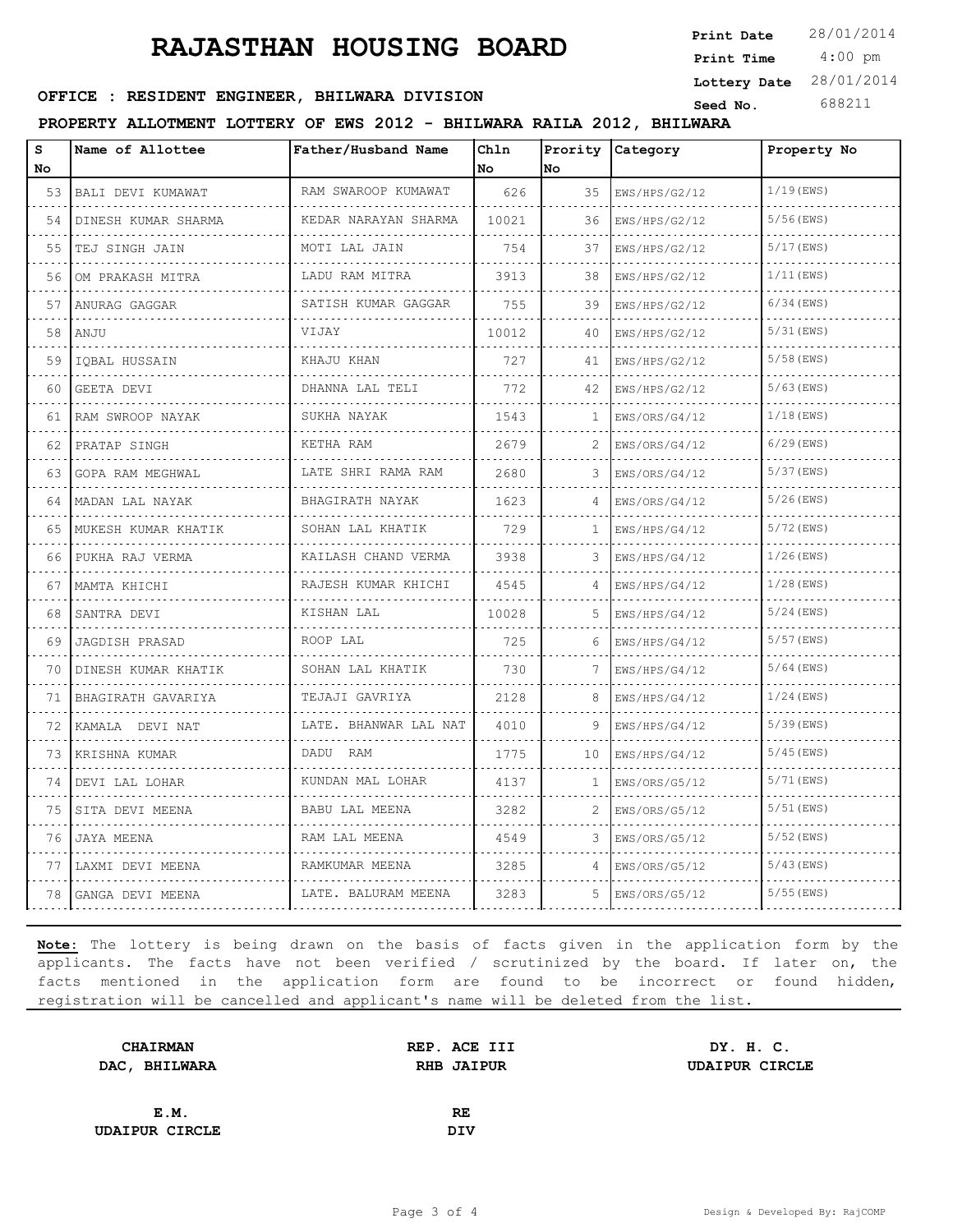4:00 pm **Print Date Print Time Lottery Date** 28/01/2014

# **SEED : RESIDENT ENGINEER, BHILWARA DIVISION** Seed No. 688211

#### **PROPERTY ALLOTMENT LOTTERY OF EWS 2012 - BHILWARA RAILA 2012, BHILWARA**

| s  | Name of Allottee       | Father/Husband Name      | Ch1n  |              | Prority Category | Property No  |
|----|------------------------|--------------------------|-------|--------------|------------------|--------------|
| No |                        |                          | No    | No           |                  |              |
| 53 | BALI DEVI KUMAWAT<br>. | RAM SWAROOP KUMAWAT<br>. | 626   | 35           | EWS/HPS/G2/12    | $1/19$ (EWS) |
| 54 | DINESH KUMAR SHARMA    | KEDAR NARAYAN SHARMA     | 10021 | 36           | EWS/HPS/G2/12    | $5/56$ (EWS) |
| 55 | TEJ SINGH JAIN         | MOTI LAL JAIN            | 754   | 37           | EWS/HPS/G2/12    | $5/17$ (EWS) |
| 56 | OM PRAKASH MITRA       | LADU RAM MITRA<br>.      | 3913  | 38           | EWS/HPS/G2/12    | $1/11$ (EWS) |
| 57 | ANURAG GAGGAR          | SATISH KUMAR GAGGAR      | 755   | 39           | EWS/HPS/G2/12    | $6/34$ (EWS) |
| 58 | ANJU                   | VIJAY                    | 10012 | 40           | EWS/HPS/G2/12    | $5/31$ (EWS) |
| 59 | IQBAL HUSSAIN          | KHAJU KHAN               | 727   | 41           | EWS/HPS/G2/12    | $5/58$ (EWS) |
| 60 | GEETA DEVI             | DHANNA LAL TELI          | 772   | 42           | EWS/HPS/G2/12    | $5/63$ (EWS) |
| 61 | RAM SWROOP NAYAK       | SUKHA NAYAK              | 1543  | 1            | EWS/ORS/G4/12    | $1/18$ (EWS) |
| 62 | PRATAP SINGH<br>.      | KETHA RAM                | 2679  | 2            | EWS/ORS/G4/12    | $6/29$ (EWS) |
| 63 | GOPA RAM MEGHWAL       | LATE SHRI RAMA RAM<br>.  | 2680  | 3            | EWS/ORS/G4/12    | $5/37$ (EWS) |
| 64 | MADAN LAL NAYAK        | BHAGIRATH NAYAK          | 1623  |              | EWS/ORS/G4/12    | $5/26$ (EWS) |
| 65 | MUKESH KUMAR KHATIK    | SOHAN LAL KHATIK<br>.    | 729   | 1            | EWS/HPS/G4/12    | $5/72$ (EWS) |
| 66 | PUKHA RAJ VERMA        | KAILASH CHAND VERMA<br>. | 3938  | 3            | EWS/HPS/G4/12    | $1/26$ (EWS) |
| 67 | MAMTA KHICHI           | RAJESH KUMAR KHICHI      | 4545  |              | EWS/HPS/G4/12    | $1/28$ (EWS) |
| 68 | SANTRA DEVI            | KISHAN LAL               | 10028 | 5            | EWS/HPS/G4/12    | $5/24$ (EWS) |
| 69 | JAGDISH PRASAD         | ROOP LAL                 | 725   | 6            | EWS/HPS/G4/12    | $5/57$ (EWS) |
| 70 | DINESH KUMAR KHATIK    | SOHAN LAL KHATIK         | 730   |              | EWS/HPS/G4/12    | $5/64$ (EWS) |
| 71 | BHAGIRATH GAVARIYA     | TEJAJI GAVRIYA           | 2128  | 8            | EWS/HPS/G4/12    | $1/24$ (EWS) |
| 72 | KAMALA DEVI NAT        | LATE. BHANWAR LAL NAT    | 4010  | 9            | EWS/HPS/G4/12    | $5/39$ (EWS) |
| 73 | KRISHNA KUMAR          | DADU RAM                 | 1775  | 10           | EWS/HPS/G4/12    | $5/45$ (EWS) |
| 74 | DEVI LAL LOHAR         | KUNDAN MAL LOHAR         | 4137  | $\mathbf{1}$ | EWS/ORS/G5/12    | $5/71$ (EWS) |
| 75 | SITA DEVI MEENA        | BABU LAL MEENA           | 3282  | 2            | EWS/ORS/G5/12    | $5/51$ (EWS) |
| 76 | JAYA MEENA             | RAM LAL MEENA            | 4549  | 3            | EWS/ORS/G5/12    | $5/52$ (EWS) |
| 77 | LAXMI DEVI MEENA       | RAMKUMAR MEENA           | 3285  | 4            | EWS/ORS/G5/12    | $5/43$ (EWS) |
| 78 | GANGA DEVI MEENA       | LATE. BALURAM MEENA      | 3283  | 5.           | EWS/ORS/G5/12    | $5/55$ (EWS) |

| <b>CHAIRMAN</b>       | REP. ACE III | DY. H. C.             |
|-----------------------|--------------|-----------------------|
| DAC, BHILWARA         | RHB JAIPUR   | <b>UDAIPUR CIRCLE</b> |
|                       |              |                       |
| E.M.                  | RE           |                       |
| <b>UDAIPUR CIRCLE</b> | DIV          |                       |